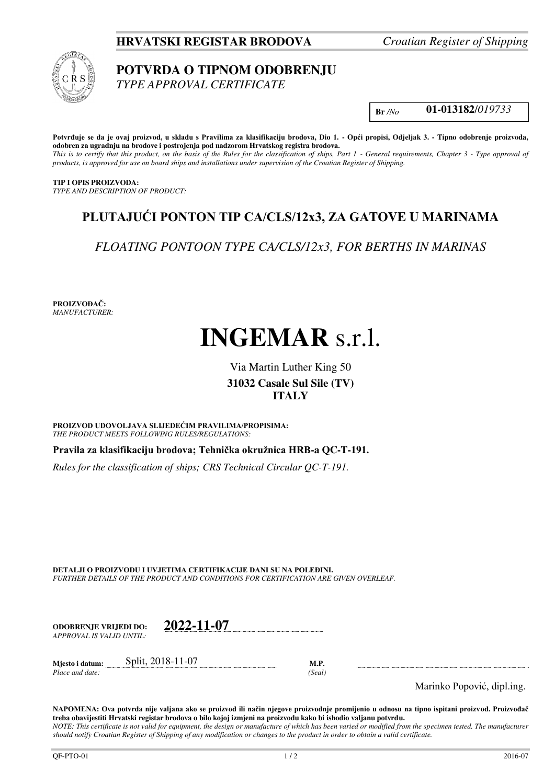**HRVATSKI REGISTAR BRODOVA** *Croatian Register of Shipping*



# **POTVRDA O TIPNOM ODOBRENJU**

*TYPE APPROVAL CERTIFICATE* 

**Br** */No* **01-013182**/*019733* 

**Potvrđuje se da je ovaj proizvod, u skladu s Pravilima za klasifikaciju brodova, Dio 1. - Opći propisi, Odjeljak 3. - Tipno odobrenje proizvoda, odobren za ugradnju na brodove i postrojenja pod nadzorom Hrvatskog registra brodova.** 

*This is to certify that this product, on the basis of the Rules for the classification of ships, Part 1 - General requirements, Chapter 3 - Type approval of products, is approved for use on board ships and installations under supervision of the Croatian Register of Shipping.* 

## **TIP I OPIS PROIZVODA:**

*TYPE AND DESCRIPTION OF PRODUCT:* 

# **PLUTAJUĆI PONTON TIP CA/CLS/12x3, ZA GATOVE U MARINAMA**

*FLOATING PONTOON TYPE CA/CLS/12x3, FOR BERTHS IN MARINAS*

**PROIZVOĐAČ:** *MANUFACTURER:*

# **INGEMAR** s.r.l.

# Via Martin Luther King 50 **31032 Casale Sul Sile (TV) ITALY**

**PROIZVOD UDOVOLJAVA SLIJEDEĆIM PRAVILIMA/PROPISIMA:** *THE PRODUCT MEETS FOLLOWING RULES/REGULATIONS:* 

**Pravila za klasifikaciju brodova; Tehnička okružnica HRB-a QC-T-191.** 

*Rules for the classification of ships; CRS Technical Circular QC-T-191.*

**DETALJI O PROIZVODU I UVJETIMA CERTIFIKACIJE DANI SU NA POLEĐINI.** *FURTHER DETAILS OF THE PRODUCT AND CONDITIONS FOR CERTIFICATION ARE GIVEN OVERLEAF.* 

| ODOBREN.IE VRLIEDI DO:    | 2022-11-07 |
|---------------------------|------------|
| APPROVAL IS VALID UNTIL:- |            |

**Mjesto i datum:** Split, 2018-11-07 **M.P.**  *Place and date: (Seal)* 

Marinko Popović, dipl.ing.

**NAPOMENA: Ova potvrda nije valjana ako se proizvod ili način njegove proizvodnje promijenio u odnosu na tipno ispitani proizvod. Proizvođač treba obavijestiti Hrvatski registar brodova o bilo kojoj izmjeni na proizvodu kako bi ishodio valjanu potvrdu.** *NOTE: This certificate is not valid for equipment, the design or manufacture of which has been varied or modified from the specimen tested. The manufacturer should notify Croatian Register of Shipping of any modification or changes to the product in order to obtain a valid certificate.*